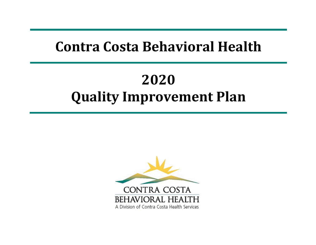# **Contra Costa Behavioral Health**

# **2020 Quality Improvement Plan**

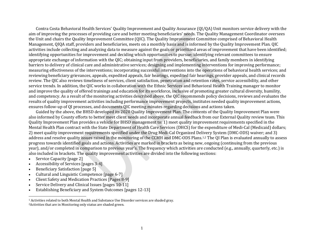<span id="page-1-0"></span>Contra Costa Behavioral Health Services' Quality Improvement and Quality Assurance (QI/QA) Unit monitors service delivery with the aim of improving the processes of providing care and better meeting beneficiaries' needs. The Quality Management Coordinator oversees the Unit and chairs the Quality Improvement Committee (QIC). The Quality Improvement Committee comprised of Behavioral Health Management, QIQA staff, providers and beneficiaries, meets on a monthly basis and is informed by the Quality Improvement Plan. QIC activities include collecting and analyzing data to measure against the goals or prioritized areas of improvement that have been identified; identifying opportunities for improvement and deciding which opportunities to pursue; identifying relevant committees to ensure appropriate exchange of information with the QIC; obtaining input from providers, beneficiaries, and family members in identifying barriers to delivery of clinical care and administrative services; designing and implementing interventions for improving performance; measuring effectiveness of the interventions; incorporating successful interventions into the operations of behavioral health services; and reviewing beneficiary grievances, appeals, expedited appeals, fair hearings, expedited fair hearings, provider appeals, and clinical records review. The QIC also reviews timeliness of services, client satisfaction, penetration and retention rates, service accessibility, and other service trends. In addition, the QIC works in collaboration with the Ethnic Services and Behavioral Health Training manager to monitor and improve the quality of offered trainings and education for its workforce, inclusive of promoting greater cultural diversity, humility, and competency. As a result of the monitoring activities described above, the QIC recommends policy decisions, reviews and evaluates the results of quality improvement activities including performance improvement projects, institutes needed quality improvement actions, ensures follow-up of QI processes, and documents QIC meeting minutes regarding decisions and actions taken.

Guided by the above, the BHSD developed its 2020 Quality Improvement Plan. The contents of the Quality Improvement Plan were also informed by County efforts to better meet client needs and incorporate annual feedback from our External Quality review team. This Quality Improvement Plan provides a vehicle for BHSD management to: 1) meet quality improvement requirements specified in the Mental Health Plan contract with the State Department of Health Care Services (DHCS) for the expenditure of Medi-Cal (Medicaid) dollars; 2) meet quality improvement requirements specified under the Drug Medi-Cal Organized Delivery System (DMC-ODS) waiver; and 3) address and resolve quality issues raised in the monitoring of the CCMH and DMC-ODS Plans.[1,](#page-1-0)2 The QI Plan is evaluated annually to assess progress towards identified goals and actions. Activities are marked in brackets as being new, ongoing (continuing from the previous year), and/or completed in comparison to previous year's. The frequency which activities are conducted (e.g., annually, quarterly, etc.) is also included in brackets. The quality improvement activities are divided into the following sections:

- Service Capacity [page 2]
- Accessibility of Services [pages 3-4]
- Beneficiary Satisfaction [page 5]
- Cultural and Linguistic Competence [page 6-7]
- Client Safety and Medication Practices [Pages 8-9]
- Service Delivery and Clinical Issues [pages 10-11]
- Establishing Beneficiary and System Outcomes [pages 12-13]

<sup>1</sup> Activities related to both Mental Health and Substance Use Disorder services are shaded gray. 2Activities that are in Monitoring only status are shaded green.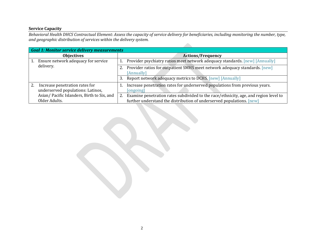## **Service Capacity**

*Behavioral Health DHCS Contractual Element: Assess the capacity of service delivery for beneficiaries, including monitoring the number, type, and geographic distribution of services within the delivery system.*

| <b>Goal 1: Monitor service delivery measurements</b>                |                                                                                                                                                               |  |
|---------------------------------------------------------------------|---------------------------------------------------------------------------------------------------------------------------------------------------------------|--|
| <b>Objectives</b>                                                   | <b>Actions/Frequency</b>                                                                                                                                      |  |
| Ensure network adequacy for service                                 | Provider psychiatry ratios meet network adequacy standards. [new] [Annually]                                                                                  |  |
| delivery.                                                           | Provider ratios for outpatient SMHS meet network adequacy standards. [new]<br>[Annually]                                                                      |  |
|                                                                     | Report network adequacy metrics to DCHS. [new] [Annually]<br>3.                                                                                               |  |
| Increase penetration rates for<br>underserved populations: Latinos, | Increase penetration rates for underserved populations from previous years.<br>[ongoing]                                                                      |  |
| Asian/ Pacific Islanders, Birth to Six, and<br>Older Adults.        | Examine penetration rates subdivided to the race/ethnicity, age, and region level to<br>further understand the distribution of underserved populations. [new] |  |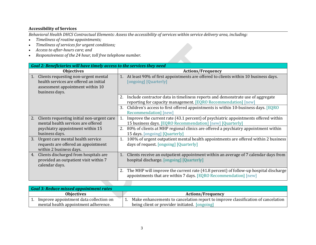## **Accessibility of Services**

*Behavioral Health DHCS Contractual Elements: Assess the accessibility of services within service delivery area, including:*

- *Timeliness of routine appointments;*
- *Timeliness of services for urgent conditions;*
- *Access to after-hours care; and*
- *Responsiveness of the 24 hour, toll free telephone number.*

| Goal 2: Beneficiaries will have timely access to the services they need                                                                    |                                                                                                                                                                         |
|--------------------------------------------------------------------------------------------------------------------------------------------|-------------------------------------------------------------------------------------------------------------------------------------------------------------------------|
| <b>Objectives</b>                                                                                                                          | <b>Actions/Frequency</b>                                                                                                                                                |
| Clients requesting non-urgent mental<br>1.<br>health services are offered an initial<br>assessment appointment within 10<br>business days. | At least 90% of first appointments are offered to clients within 10 business days.<br>1.<br>[ongoing] [Quarterly]                                                       |
|                                                                                                                                            | Include contractor data in timeliness reports and demonstrate use of aggregate<br>2.<br>reporting for capacity management. [EQRO Recommendation] [new]                  |
|                                                                                                                                            | Children's access to first offered appointments is within 10-business days. [EQRO<br>3.<br>Recommendation] [new]                                                        |
| Clients requesting initial non-urgent care<br>2.<br>mental health services are offered                                                     | Improve the current rate (43.1 percent) of psychiatric appointments offered within<br>15 business days. [EQRO Recommendation] [new] [Quarterly]                         |
| psychiatry appointment within 15<br>business days.                                                                                         | 80% of clients at MHP regional clinics are offered a psychiatry appointment within<br>2.<br>15 days. [ongoing] [Quarterly]                                              |
| Urgent care mental health service<br>3.<br>requests are offered an appointment<br>within 2 business days.                                  | 100% of urgent outpatient mental health appointments are offered within 2 business<br>1.<br>days of request. [ongoing] [Quarterly]                                      |
| Clients discharged from hospitals are<br>4.<br>provided an outpatient visit within 7<br>calendar days.                                     | Clients receive an outpatient appointment within an average of 7 calendar days from<br>1.<br>hospital discharge. [ongoing] [Quarterly]                                  |
|                                                                                                                                            | The MHP will improve the current rate (41.8 percent) of follow-up hospital discharge<br>$Z_{\rm L}$<br>appointments that are within 7 days. [EQRO Recommendation] [new] |

| <b>Goal 3: Reduce missed appointment rates</b> |                                                                                  |
|------------------------------------------------|----------------------------------------------------------------------------------|
| <b>Objectives</b>                              | <b>Actions/Frequency</b>                                                         |
| Improve appointment data collection on         | Make enhancements to cancelation report to improve classification of cancelation |
| mental health appointment adherence.           | being client or provider initiated. [ongoing]                                    |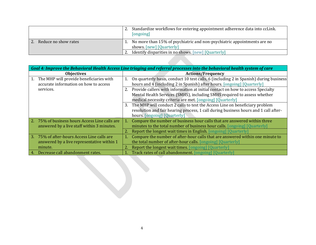|                      | Standardize workflows for entering appointment adherence data into ccLink.<br>[ongoing]             |
|----------------------|-----------------------------------------------------------------------------------------------------|
| Reduce no show rates | No more than 15% of psychiatric and non-psychiatric appointments are no<br>shows. [new] [Quarterly] |
|                      | Identify disparities in no shows. [new] [Quarterly]                                                 |

| Goal 4: Improve the Behavioral Health Access Line triaging and referral processes into the behavioral health system of care |                                                                                             |
|-----------------------------------------------------------------------------------------------------------------------------|---------------------------------------------------------------------------------------------|
| <b>Objectives</b>                                                                                                           | <b>Actions/Frequency</b>                                                                    |
| The MHP will provide beneficiaries with                                                                                     | On quarterly basis, conduct 10 test calls, 6 (including 2 in Spanish) during business<br>1. |
| accurate information on how to access                                                                                       | hours and 4 (including 2 in Spanish) after hours. [ongoing] [Quarterly]                     |
| services.                                                                                                                   | Provide callers with information at initial contact on how to access Specialty<br>2.        |
|                                                                                                                             | Mental Health Services (SMHS), including SMHS required to assess whether                    |
|                                                                                                                             | medical necessity criteria are met. [ongoing] [Quarterly]                                   |
|                                                                                                                             | The MHP will conduct 2 calls to test the Access Line on beneficiary problem<br>3.           |
|                                                                                                                             | resolution and fair hearing process, 1 call during business hours and 1 call after-         |
|                                                                                                                             | hours. [ongoing] [Quarterly]                                                                |
| 2. 75% of business hours Access Line calls are                                                                              | Compare the number of business hour calls that are answered within three<br>1.              |
| answered by a live staff within 3 minutes.                                                                                  | minutes to the total number of business hour calls. [ongoing] [Quarterly]                   |
|                                                                                                                             | 2. Report the longest wait times in English. [ongoing] [Quarterly]                          |
| 75% of after-hours Access Line calls are<br>3.                                                                              | Compare the number of after-hour calls that are answered within one minute to<br>1.         |
| answered by a live representative within 1                                                                                  | the total number of after-hour calls. [ongoing] [Quarterly]                                 |
| minute.                                                                                                                     | Report the longest wait times. [ongoing] [Quarterly]<br>2.                                  |
| Decrease call abandonment rates.<br>4.                                                                                      | Track rates of call abandonment. [ongoing] [Quarterly]                                      |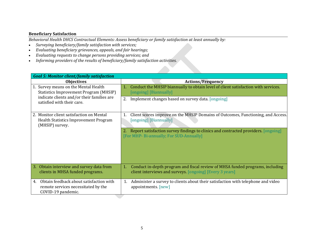#### **Beneficiary Satisfaction**

*Behavioral Health DHCS Contractual Elements: Assess beneficiary or family satisfaction at least annually by:*

- *Surveying beneficiary/family satisfaction with services;*
- *Evaluating beneficiary grievances, appeals, and fair hearings;*
- *Evaluating requests to change persons providing services; and*
- *Informing providers of the results of beneficiary/family satisfaction activities.*

| <b>Goal 5: Monitor client/family satisfaction</b>                                                                                                                 |                                                                                                                                                                                                                                                   |
|-------------------------------------------------------------------------------------------------------------------------------------------------------------------|---------------------------------------------------------------------------------------------------------------------------------------------------------------------------------------------------------------------------------------------------|
| <b>Objectives</b>                                                                                                                                                 | <b>Actions/Frequency</b>                                                                                                                                                                                                                          |
| 1. Survey means on the Mental Health<br><b>Statistics Improvement Program (MHSIP)</b><br>indicate clients and/or their families are<br>satisfied with their care. | Conduct the MHSIP biannually to obtain level of client satisfaction with services.<br>1.<br>[ongoing] [Biannually]<br>Implement changes based on survey data. [ongoing]                                                                           |
| 2. Monitor client satisfaction on Mental<br>Health Statistics Improvement Program<br>(MHSIP) survey.                                                              | Client scores improve on the MHSIP Domains of Outcomes, Functioning, and Access.<br>1.<br>[ongoing] [Biannually]<br>Report satisfaction survey findings to clinics and contracted providers [ongoing]<br>[For MHP- Bi-annually; For SUD-Annually] |
| 3. Obtain interview and survey data from<br>clients in MHSA funded programs.                                                                                      | Conduct in-depth program and fiscal review of MHSA funded programs, including<br>1.<br>client interviews and surveys. [ongoing] [Every 3 years]                                                                                                   |
| Obtain feedback about satisfaction with<br>4.<br>remote services necessitated by the<br>COVID-19 pandemic.                                                        | Administer a survey to clients about their satisfaction with telephone and video<br>1.<br>appointments. [new]                                                                                                                                     |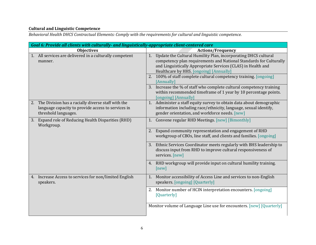# **Cultural and Linguistic Competence**

*Behavioral Health DHCS Contractual Elements: Comply with the requirements for cultural and linguistic competence.*

| Goal 6: Provide all clients with culturally- and linguistically-appropriate client-centered care                                    |                                                                                                                                                                                                                                                       |
|-------------------------------------------------------------------------------------------------------------------------------------|-------------------------------------------------------------------------------------------------------------------------------------------------------------------------------------------------------------------------------------------------------|
| <b>Objectives</b>                                                                                                                   | <b>Actions/Frequency</b>                                                                                                                                                                                                                              |
| 1. All services are delivered in a culturally competent<br>manner.                                                                  | Update the Cultural Humility Plan, incorporating DHCS cultural<br>1.<br>competency plan requirements and National Standards for Culturally<br>and Linguistically Appropriate Services (CLAS) in Health and<br>Healthcare by HHS. [ongoing] [Annually] |
|                                                                                                                                     | 2. 100% of staff complete cultural competency training. [ongoing]<br>[Annually]                                                                                                                                                                       |
|                                                                                                                                     | 3. Increase the % of staff who complete cultural competency training<br>within recommended timeframe of 1 year by 10 percentage points.<br>[ongoing] [Annually]                                                                                       |
| 2. The Division has a racially diverse staff with the<br>language capacity to provide access to services in<br>threshold languages. | Administer a staff equity survey to obtain data about demographic<br>1.<br>information including race/ethnicity, language, sexual identify,<br>gender orientation, and workforce needs. [new]                                                         |
| 3. Expand role of Reducing Health Disparities (RHD)<br>Workgroup.                                                                   | Convene regular RHD Meetings. [new] [Bimonthly]                                                                                                                                                                                                       |
|                                                                                                                                     | 2. Expand community representation and engagement of RHD<br>workgroup of CBOs, line staff, and clients and families. [ongoing]                                                                                                                        |
|                                                                                                                                     | 3. Ethnic Services Coordinator meets regularly with BHS leadership to<br>discuss input from RHD to improve cultural responsiveness of<br>services. [new]                                                                                              |
|                                                                                                                                     | 4. RHD workgroup will provide input on cultural humility training.<br>[new]                                                                                                                                                                           |
| 4. Increase Access to services for non/limited English<br>speakers.                                                                 | Monitor accessibility of Access Line and services to non-English<br>1.<br>speakers. [ongoing] [Quarterly]                                                                                                                                             |
|                                                                                                                                     | 2. Monitor number of HCIN interpretation encounters. [ongoing]<br>[Quarterly]                                                                                                                                                                         |
|                                                                                                                                     | Monitor volume of Language Line use for encounters. [new] [Quarterly]                                                                                                                                                                                 |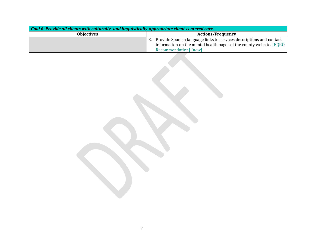| Goal 6: Provide all clients with culturally- and linguistically-appropriate client-centered care |                                                                        |  |
|--------------------------------------------------------------------------------------------------|------------------------------------------------------------------------|--|
| <b>Objectives</b>                                                                                | <b>Actions/Frequency</b>                                               |  |
|                                                                                                  | 3. Provide Spanish language links to services descriptions and contact |  |
|                                                                                                  | information on the mental health pages of the county website. [EQRO ]  |  |
|                                                                                                  | Recommendation [new]                                                   |  |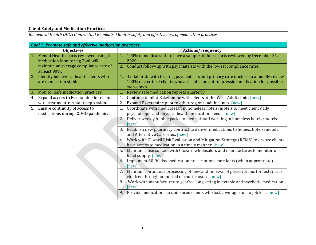# **Client Safety and Medication Practices**

*Behavioral Health DHCS Contractual Elements: Monitor safety and effectiveness of medication practices.*

| <b>Goal 7: Promote safe and effective medication practices.</b>                      |                                                                                                                                                                                                |
|--------------------------------------------------------------------------------------|------------------------------------------------------------------------------------------------------------------------------------------------------------------------------------------------|
| <b>Objectives</b>                                                                    | <b>Actions/Frequency</b>                                                                                                                                                                       |
| 1. Mental Health charts reviewed using the<br><b>Medication Monitoring Tool will</b> | 1. 100% of medical staff to have a sample of their charts reviewed by December 31,<br>2020.                                                                                                    |
| maintain an average compliance rate of<br>at least 90%.                              | 2. Conduct follow-up with psychiatrists with the lowest compliance rates.                                                                                                                      |
| Identify behavioral health clients who<br>are medication stable.                     | Collaborate with treating psychiatrists and primary care doctors to annually review<br>1.<br>100% of charts of clients who are stable on anti-depression medication for possible<br>step-down. |
| Monitor safe medication practices.<br>З.                                             | Review safe medication reports quarterly                                                                                                                                                       |
| Expand access to Esketamine for clients<br>4.                                        | Continue to pilot Esketamine with clients at the West Adult clinic. [new]<br>1.                                                                                                                |
| with treatment-resistant depression.                                                 | 2.<br>Expand Esketamine pilot to other regional adult clinics. [new]                                                                                                                           |
| 5. Ensure continuity of access to<br>medications during COVID pandemic.              | Coordinate with medical staff in homeless hotels/motels to meet client daily<br>1.<br>psychotropic and physical health medication needs. [new]                                                 |
|                                                                                      | 2. Deliver weekly bubble packs to medical staff working in homeless hotels/motels.<br>[new]                                                                                                    |
|                                                                                      | 3. Establish new pharmacy contract to deliver medications to homes, hotels/motels,<br>and Alternative Care sites. [new]                                                                        |
|                                                                                      | Work with Clozaril Risk Evaluation and Mitigation Strategy (REMS) to ensure clients<br>4.<br>have access to medication in a timely manner. [new]                                               |
|                                                                                      | 5. Maintain close contact with Clozaril wholesalers and manufactures to monitor on-<br>hand supply. [new]                                                                                      |
|                                                                                      | Implement 60-90 day medication prescriptions for clients (when appropriate).<br>[new]                                                                                                          |
|                                                                                      | 7. Maintain continuous processing of new and renewal of prescriptions for foster care<br>children throughout period of court closure. [new]                                                    |
|                                                                                      | Work with manufacturer to get free long acting injectable antipsychotic medication.<br>8.<br>[new]                                                                                             |
|                                                                                      | 9. Provide medications to uninsured clients who lost coverage due to job loss. [new]                                                                                                           |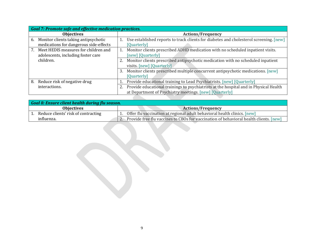| <b>Goal 7: Promote safe and effective medication practices.</b>                      |                                                                                                                                                  |
|--------------------------------------------------------------------------------------|--------------------------------------------------------------------------------------------------------------------------------------------------|
| <b>Objectives</b>                                                                    | <b>Actions/Frequency</b>                                                                                                                         |
| Monitor clients taking antipsychotic<br>6.<br>medications for dangerous side-effects | Use established reports to track clients for diabetes and cholesterol screening. [new]<br>[Quarterly]                                            |
| Meet HEDIS measures for children and<br>adolescents, including foster care           | Monitor clients prescribed ADHD medication with no scheduled inpatient visits.<br>[new] [Quarterly]                                              |
| children.                                                                            | Monitor clients prescribed antipsychotic medication with no scheduled inpatient<br>visits. [new] [Quarterly]                                     |
|                                                                                      | Monitor clients prescribed multiple concurrent antipsychotic medications. [new]<br>3.<br>[Quarterly]                                             |
| Reduce risk of negative drug<br>8.                                                   | Provide educational training to Lead Psychiatrists. [new] [Quarterly]                                                                            |
| interactions.                                                                        | Provide educational trainings to psychiatrists at the hospital and in Physical Health<br>at Department of Psychiatry meetings. [new] [Quarterly] |

| Goal 8: Ensure client health during flu season. |                                                                                            |
|-------------------------------------------------|--------------------------------------------------------------------------------------------|
| <b>Objectives</b>                               | <b>Actions/Frequency</b>                                                                   |
| Reduce clients' risk of contracting             | Offer flu vaccination at regional adult behavioral health clinics. [new]                   |
| influenza.                                      | 2. Provide free flu vaccines to CBOs for vaccination of behavioral health clients. $[new]$ |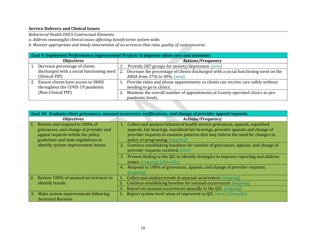# **Service Delivery and Clinical Issues**

*Behavioral Health DHCS Contractual Elements:* 

*a. Address meaningful clinical issues affecting beneficiaries system-wide.* 

*b. Monitor appropriate and timely intervention of occurrences that raise quality of care concerns.* 

| Goal 9: Implement Performance Improvement Projects to improve client care and outcomes |                                                                                     |
|----------------------------------------------------------------------------------------|-------------------------------------------------------------------------------------|
| <b>Objectives</b>                                                                      | <b>Actions/Frequency</b>                                                            |
| Decrease percentage of clients                                                         | Provide CBT groups for anxiety/depression. [new]                                    |
| discharged with a social functioning need                                              | Decrease the percentage of clients discharged with a social functioning need on the |
| (Clinical PIP)                                                                         | ANSA from 37% to 30%. [new]                                                         |
| Ensure clients have access to SMHS                                                     | Provide video and phone appointments so clients can receive care safely without     |
| throughout the COVD-19 pandemic                                                        | needing to go to clinics.                                                           |
| (Non-Clinical PIP)                                                                     | Maintain the overall number of appointments at County-operated clinics as pre-      |
|                                                                                        | pandemic levels.                                                                    |

| Goal 10: Evaluate client grievances, unusual occurrence notifications, and change of provider appeal requests.                                      |                                                                                                                                                                                                                                                                                          |  |
|-----------------------------------------------------------------------------------------------------------------------------------------------------|------------------------------------------------------------------------------------------------------------------------------------------------------------------------------------------------------------------------------------------------------------------------------------------|--|
| <b>Objectives</b>                                                                                                                                   | <b>Actions/Frequency</b>                                                                                                                                                                                                                                                                 |  |
| Review and respond to 100% of<br>grievances, and change of provider and<br>appeal requests within the policy<br>guidelines and state regulations to | Collect and analyze behavioral health service grievances, appeals, expedited<br>1.<br>appeals, fair hearings, expedited fair hearings, provider appeals and change of<br>provider requests to examine patterns that may inform the need for changes in<br>policy or programing [ongoing] |  |
| identify system improvement issues.                                                                                                                 | Continue establishing baselines for number of grievances, appeals, and change of<br><b>2.</b><br>provider requests received. [new]                                                                                                                                                       |  |
|                                                                                                                                                     | Present finding to the QIC to identify strategies to improve reporting and address<br>-3.<br>issues. [ongoing] [Annually]                                                                                                                                                                |  |
|                                                                                                                                                     | Respond to 100% of grievances, appeals, and change of provider requests.<br>[ongoing]                                                                                                                                                                                                    |  |
| Review 100% of unusual occurrences to                                                                                                               | Collect and analyze trends in unusual occurrences. [ongoing]                                                                                                                                                                                                                             |  |
| identify trends.                                                                                                                                    | Continue establishing baseline for unusual occurrences. [ongoing]                                                                                                                                                                                                                        |  |
|                                                                                                                                                     | Report on unusual occurrences annually to the QIC. [ongoing]<br>3.                                                                                                                                                                                                                       |  |
| Make system improvements following<br>3.<br><b>Sentinnel Reviews</b>                                                                                | Report system-level areas of improvent to QIC. [new] [Annually]                                                                                                                                                                                                                          |  |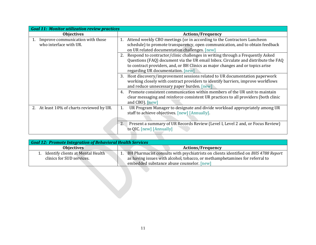| <b>Goal 11: Monitor utilization review practices</b>          |                                                                                                                                                                                                                                                                                                 |  |
|---------------------------------------------------------------|-------------------------------------------------------------------------------------------------------------------------------------------------------------------------------------------------------------------------------------------------------------------------------------------------|--|
| <b>Objectives</b>                                             | <b>Actions/Frequency</b>                                                                                                                                                                                                                                                                        |  |
| 1. Improve communication with those<br>who interface with UR. | Attend weekly CBO meetings (or in according to the Contractors Luncheon<br>1.<br>schedule) to promote transparency, open communication, and to obtain feedback<br>on UR related documentation challenges. [new]                                                                                 |  |
|                                                               | Respond to contractor/clinic challenges in writing through a Frequently Asked<br>2.<br>Questions (FAQ) document via the UR email Inbox. Circulate and distribute the FAQ<br>to contract providers, and, or BH Clinics as major changes and or topics arise<br>regarding UR documentation. [new] |  |
|                                                               | Host discovery/improvement sessions related to UR documentation paperwork<br>3.<br>working closely with contract providers to identify barriers, improve workflows<br>and reduce unnecessary paper burden. [new]                                                                                |  |
|                                                               | Promote consistent communication within members of the UR unit to maintain<br>$\mathbf{4}$<br>clear messaging and reinforce consistent UR practices to all providers (both clinic<br>and CBO). [new]                                                                                            |  |
| 2. At least 10% of charts reviewed by UR.                     | UR Program Manager to designate and divide workload appropriately among UR<br>1.<br>staff to achieve objectives. [new] [Annually].                                                                                                                                                              |  |
|                                                               | Present a summary of UR Records Review (Level I, Level 2 and, or Focus Review)<br>2.<br>to QIC. [new] [Annually]                                                                                                                                                                                |  |
|                                                               |                                                                                                                                                                                                                                                                                                 |  |

| <b>Goal 12: Promote Integration of Behavioral Health Services</b> |                                                                                                                                                                                                                |  |
|-------------------------------------------------------------------|----------------------------------------------------------------------------------------------------------------------------------------------------------------------------------------------------------------|--|
| <b>Objectives</b>                                                 | <b>Actions/Frequency</b>                                                                                                                                                                                       |  |
| Identify clients at Mental Health<br>clinics for SUD services.    | BH Pharmacist consults with psychiatrists on clients identified on BHS 4788 Report<br>as having issues with alcohol, tobacco, or methamphetamines for referral to<br>embedded substance abuse counselor. [new] |  |
|                                                                   |                                                                                                                                                                                                                |  |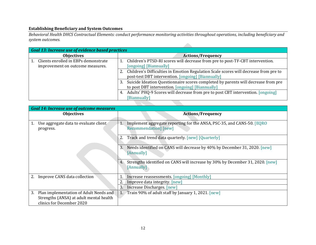## **Establishing Beneficiary and System Outcomes**

*Behavioral Health DHCS Contractual Elements: conduct performance monitoring activities throughout operations, including beneficiary and system outcomes.*

| <b>Goal 13: Increase use of evidence based practices</b>                 |                                                                                                                                               |
|--------------------------------------------------------------------------|-----------------------------------------------------------------------------------------------------------------------------------------------|
| <b>Objectives</b>                                                        | <b>Actions/Frequency</b>                                                                                                                      |
| Clients enrolled in EBPs demonstrate<br>improvement on outcome measures. | Children's PTSD-RI scores will decrease from pre to post-TF-CBT intervention.<br>[ongoing] [Biannually]                                       |
|                                                                          | 2. Children's Difficulties in Emotion Regulation Scale scores will decrease from pre to<br>post-test DBT intervention. [ongoing] [Biannually] |
|                                                                          | Suicide Ideation Questionnaire scores completed by parents will decrease from pre<br>to post DBT intervention. [ongoing] [Biannually]         |
|                                                                          | 4. Adults' PHQ-9 Scores will decrease from pre to post CBT intervention. [ongoing]<br>[Biannually]                                            |
|                                                                          |                                                                                                                                               |

| <b>Goal 14: Increase use of outcome measures</b> |                                                                                   |                                                                                                                |
|--------------------------------------------------|-----------------------------------------------------------------------------------|----------------------------------------------------------------------------------------------------------------|
|                                                  | <b>Objectives</b>                                                                 | <b>Actions/Frequency</b>                                                                                       |
| progress.                                        | Use aggregate data to evaluate client                                             | Implement aggregate reporting for the ANSA, PSC-35, and CANS-50. [EQRO]<br>1.<br><b>Recommendation</b> ] [new] |
|                                                  |                                                                                   | Track and trend data quarterly. [new] [Quarterly]<br>2.                                                        |
|                                                  |                                                                                   | Needs identified on CANS will decrease by 40% by December 31, 2020. [new]<br>3.<br>[Annually]                  |
|                                                  |                                                                                   | Strengths identified on CANS will increase by 30% by December 31, 2020. [new]<br>4.<br>[Annually]              |
| 2.                                               | Improve CANS data collection                                                      | Increase reassessments. [ongoing] [Monthly]                                                                    |
|                                                  |                                                                                   | Improve data integrity. [new]                                                                                  |
|                                                  |                                                                                   | 3.<br>Increase Discharges. [new]                                                                               |
| 3.<br>clinics for December 2020                  | Plan implementation of Adult Needs and<br>Strengths (ANSA) at adult mental health | 1. Train 90% of adult staff by January 1, 2021. [new]                                                          |